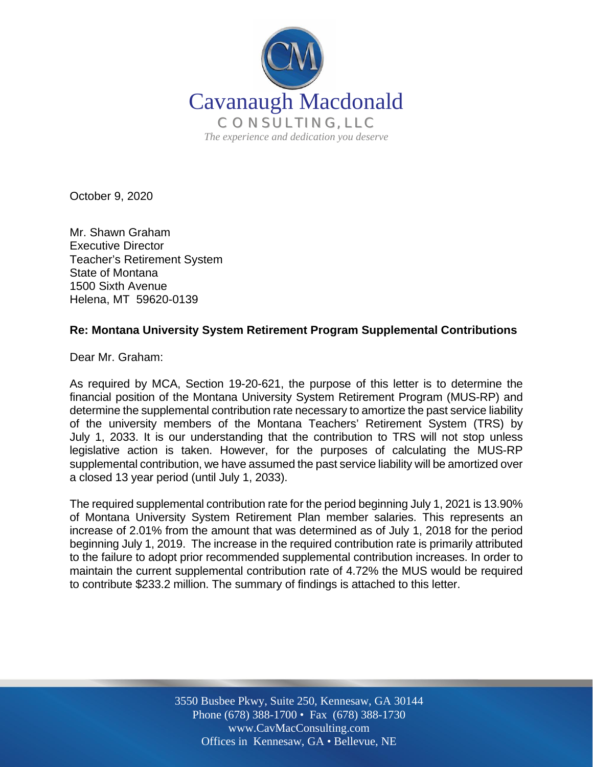

October 9, 2020

Mr. Shawn Graham Executive Director Teacher's Retirement System State of Montana 1500 Sixth Avenue Helena, MT 59620-0139

## **Re: Montana University System Retirement Program Supplemental Contributions**

Dear Mr. Graham:

As required by MCA, Section 19-20-621, the purpose of this letter is to determine the financial position of the Montana University System Retirement Program (MUS-RP) and determine the supplemental contribution rate necessary to amortize the past service liability of the university members of the Montana Teachers' Retirement System (TRS) by July 1, 2033. It is our understanding that the contribution to TRS will not stop unless legislative action is taken. However, for the purposes of calculating the MUS-RP supplemental contribution, we have assumed the past service liability will be amortized over a closed 13 year period (until July 1, 2033).

The required supplemental contribution rate for the period beginning July 1, 2021 is 13.90% of Montana University System Retirement Plan member salaries. This represents an increase of 2.01% from the amount that was determined as of July 1, 2018 for the period beginning July 1, 2019. The increase in the required contribution rate is primarily attributed to the failure to adopt prior recommended supplemental contribution increases. In order to maintain the current supplemental contribution rate of 4.72% the MUS would be required to contribute \$233.2 million. The summary of findings is attached to this letter.

> Off Offices in Kennesaw, GA • Bellevue, NE 3550 Busbee Pkwy, Suite 250, Kennesaw, GA 30144 Phone (678) 388-1700 • Fax (678) 388-1730 www.CavMacConsulting.com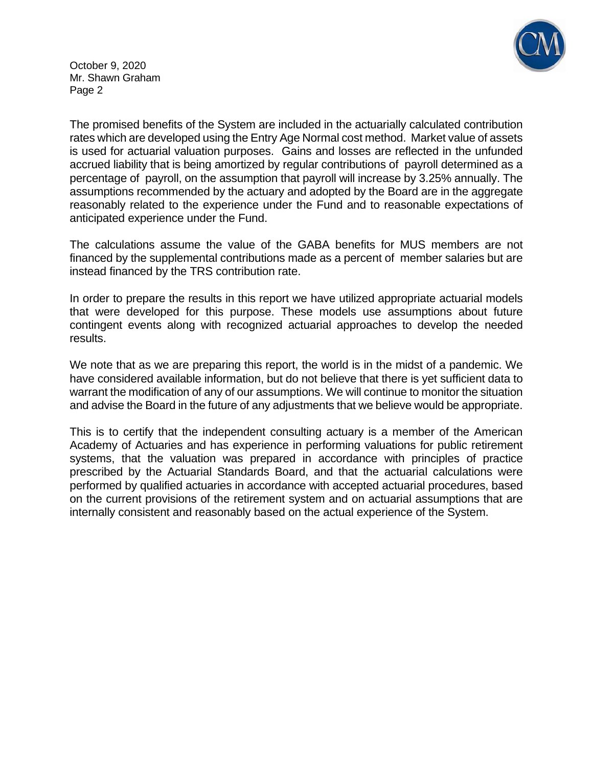

October 9, 2020 Mr. Shawn Graham Page 2

The promised benefits of the System are included in the actuarially calculated contribution rates which are developed using the Entry Age Normal cost method. Market value of assets is used for actuarial valuation purposes. Gains and losses are reflected in the unfunded accrued liability that is being amortized by regular contributions of payroll determined as a percentage of payroll, on the assumption that payroll will increase by 3.25% annually. The assumptions recommended by the actuary and adopted by the Board are in the aggregate reasonably related to the experience under the Fund and to reasonable expectations of anticipated experience under the Fund.

The calculations assume the value of the GABA benefits for MUS members are not financed by the supplemental contributions made as a percent of member salaries but are instead financed by the TRS contribution rate.

In order to prepare the results in this report we have utilized appropriate actuarial models that were developed for this purpose. These models use assumptions about future contingent events along with recognized actuarial approaches to develop the needed results.

We note that as we are preparing this report, the world is in the midst of a pandemic. We have considered available information, but do not believe that there is yet sufficient data to warrant the modification of any of our assumptions. We will continue to monitor the situation and advise the Board in the future of any adjustments that we believe would be appropriate.

This is to certify that the independent consulting actuary is a member of the American Academy of Actuaries and has experience in performing valuations for public retirement systems, that the valuation was prepared in accordance with principles of practice prescribed by the Actuarial Standards Board, and that the actuarial calculations were performed by qualified actuaries in accordance with accepted actuarial procedures, based on the current provisions of the retirement system and on actuarial assumptions that are internally consistent and reasonably based on the actual experience of the System.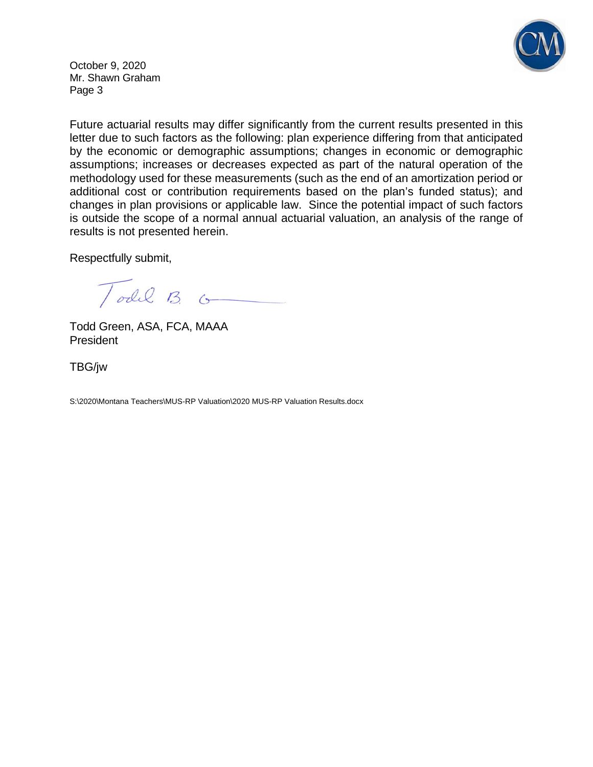

October 9, 2020 Mr. Shawn Graham Page 3

Future actuarial results may differ significantly from the current results presented in this letter due to such factors as the following: plan experience differing from that anticipated by the economic or demographic assumptions; changes in economic or demographic assumptions; increases or decreases expected as part of the natural operation of the methodology used for these measurements (such as the end of an amortization period or additional cost or contribution requirements based on the plan's funded status); and changes in plan provisions or applicable law. Since the potential impact of such factors is outside the scope of a normal annual actuarial valuation, an analysis of the range of results is not presented herein.

Respectfully submit,

Todd  $B$   $\circ$ 

 Todd Green, ASA, FCA, MAAA President

TBG/jw

S:\2020\Montana Teachers\MUS-RP Valuation\2020 MUS-RP Valuation Results.docx